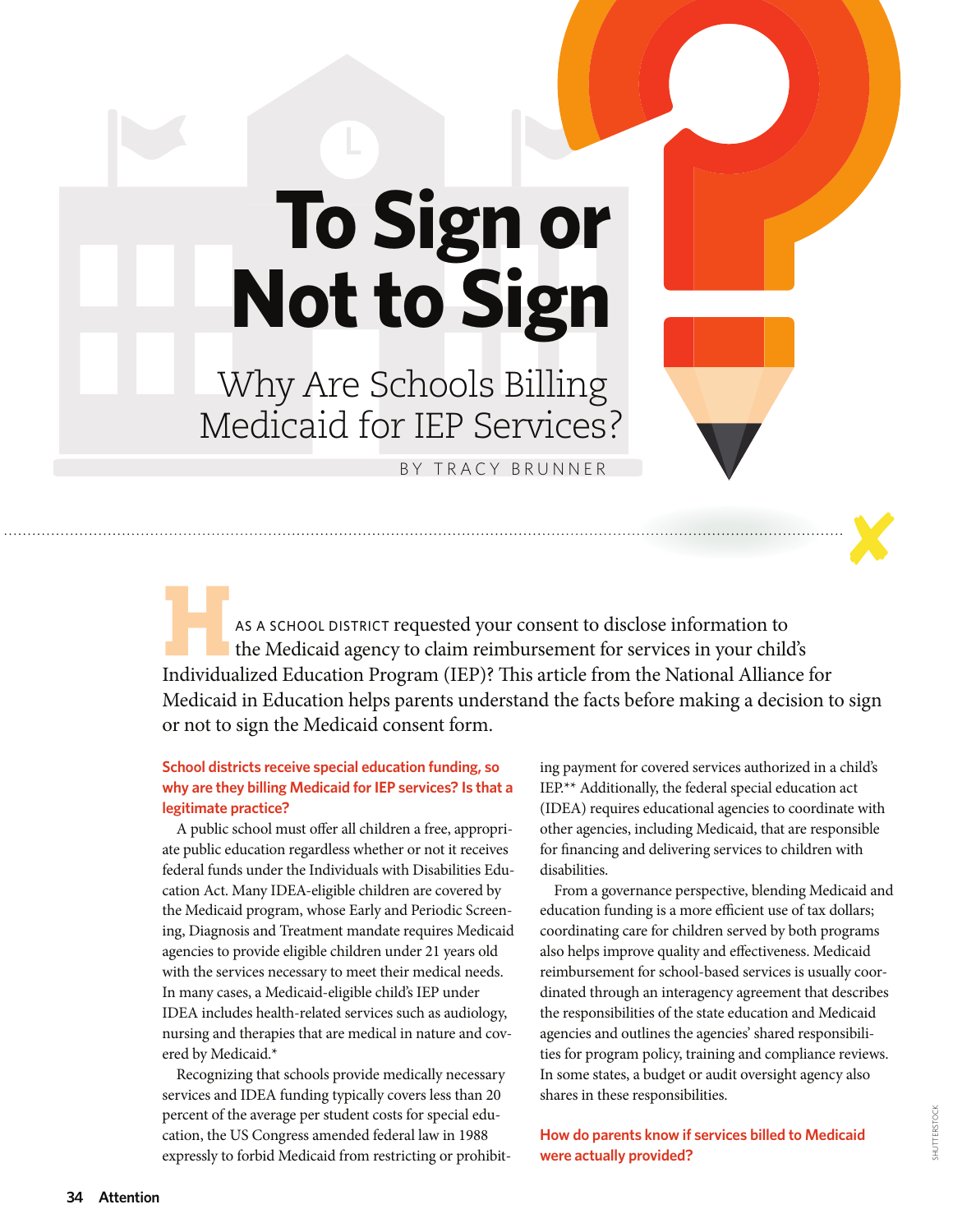# **To Sign or Not to Sign**

Why Are Schools Billing Medicaid for IEP Services?

BY TRACY BRUNNER

AS A SCHOOL DISTRICT requested your consent to disclose information to the Medicaid agency to claim reimbursement for services in your child's Individualized Education Program (IEP)? This article from the National Alliance for Medicaid in Education helps parents understand the facts before making a decision to sign or not to sign the Medicaid consent form.

# **School districts receive special education funding, so why are they billing Medicaid for IEP services? Is that a legitimate practice?**

A public school must offer all children a free, appropriate public education regardless whether or not it receives federal funds under the Individuals with Disabilities Education Act. Many IDEA-eligible children are covered by the Medicaid program, whose Early and Periodic Screening, Diagnosis and Treatment mandate requires Medicaid agencies to provide eligible children under 21 years old with the services necessary to meet their medical needs. In many cases, a Medicaid-eligible child's IEP under IDEA includes health-related services such as audiology, nursing and therapies that are medical in nature and covered by Medicaid.\*

Recognizing that schools provide medically necessary services and IDEA funding typically covers less than 20 percent of the average per student costs for special education, the US Congress amended federal law in 1988 expressly to forbid Medicaid from restricting or prohibiting payment for covered services authorized in a child's IEP.\*\* Additionally, the federal special education act (IDEA) requires educational agencies to coordinate with other agencies, including Medicaid, that are responsible for financing and delivering services to children with disabilities.

From a governance perspective, blending Medicaid and education funding is a more efficient use of tax dollars; coordinating care for children served by both programs also helps improve quality and effectiveness. Medicaid reimbursement for school-based services is usually coordinated through an interagency agreement that describes the responsibilities of the state education and Medicaid agencies and outlines the agencies' shared responsibilities for program policy, training and compliance reviews. In some states, a budget or audit oversight agency also shares in these responsibilities.

**How do parents know if services billed to Medicaid were actually provided?**